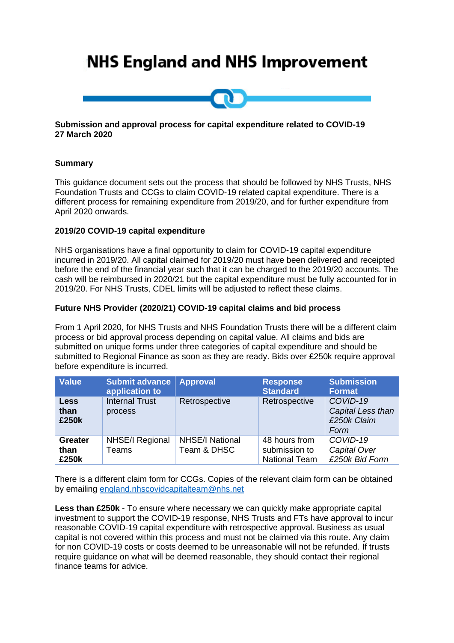# **NHS England and NHS Improvement**



#### **Submission and approval process for capital expenditure related to COVID-19 27 March 2020**

## **Summary**

This guidance document sets out the process that should be followed by NHS Trusts, NHS Foundation Trusts and CCGs to claim COVID-19 related capital expenditure. There is a different process for remaining expenditure from 2019/20, and for further expenditure from April 2020 onwards.

#### **2019/20 COVID-19 capital expenditure**

NHS organisations have a final opportunity to claim for COVID-19 capital expenditure incurred in 2019/20. All capital claimed for 2019/20 must have been delivered and receipted before the end of the financial year such that it can be charged to the 2019/20 accounts. The cash will be reimbursed in 2020/21 but the capital expenditure must be fully accounted for in 2019/20. For NHS Trusts, CDEL limits will be adjusted to reflect these claims.

#### **Future NHS Provider (2020/21) COVID-19 capital claims and bid process**

From 1 April 2020, for NHS Trusts and NHS Foundation Trusts there will be a different claim process or bid approval process depending on capital value. All claims and bids are submitted on unique forms under three categories of capital expenditure and should be submitted to Regional Finance as soon as they are ready. Bids over £250k require approval before expenditure is incurred.

| <b>Value</b>                    | <b>Submit advance Approval</b><br>application to |                                       | <b>Response</b><br><b>Standard</b>                     | <b>Submission</b><br><b>Format</b>                   |
|---------------------------------|--------------------------------------------------|---------------------------------------|--------------------------------------------------------|------------------------------------------------------|
| <b>Less</b><br>than<br>£250k    | <b>Internal Trust</b><br>process                 | Retrospective                         | Retrospective                                          | COVID-19<br>Capital Less than<br>£250k Claim<br>Form |
| <b>Greater</b><br>than<br>£250k | <b>NHSE/I Regional</b><br>Teams                  | <b>NHSE/I National</b><br>Team & DHSC | 48 hours from<br>submission to<br><b>National Team</b> | COVID-19<br>Capital Over<br>£250k Bid Form           |

There is a different claim form for CCGs. Copies of the relevant claim form can be obtained by emailing [england.nhscovidcapitalteam@nhs.net](mailto:england.nhscovidcapitalteam@nhs.net)

**Less than £250k** - To ensure where necessary we can quickly make appropriate capital investment to support the COVID-19 response, NHS Trusts and FTs have approval to incur reasonable COVID-19 capital expenditure with retrospective approval. Business as usual capital is not covered within this process and must not be claimed via this route. Any claim for non COVID-19 costs or costs deemed to be unreasonable will not be refunded. If trusts require guidance on what will be deemed reasonable, they should contact their regional finance teams for advice.